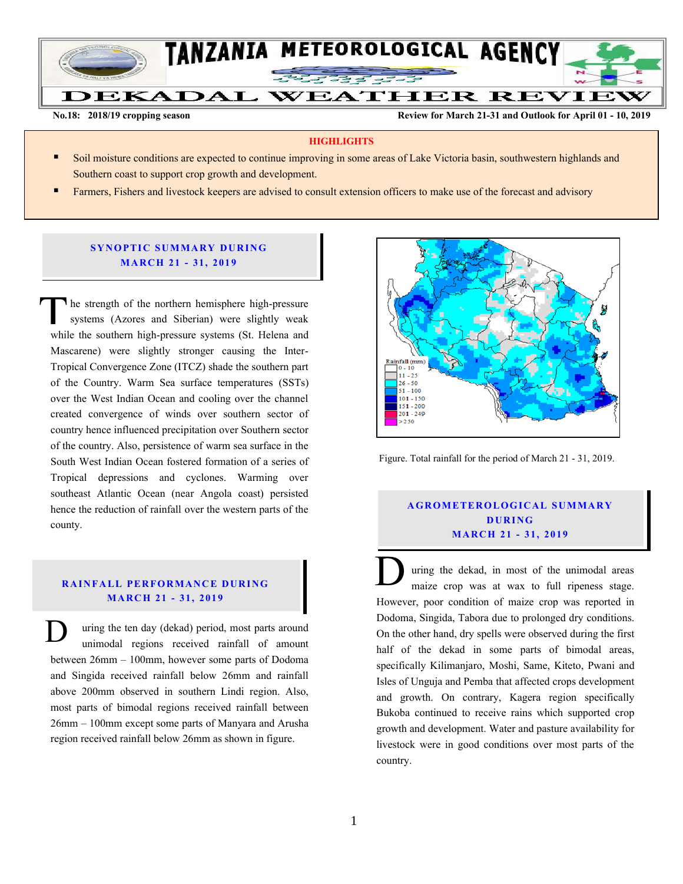

**No.18: 2018/19 cropping season Review for March 21-31 and Outlook for April 01 - 10, 2019** 

#### **HIGHLIGHTS**

- Soil moisture conditions are expected to continue improving in some areas of Lake Victoria basin, southwestern highlands and Southern coast to support crop growth and development.
- Farmers, Fishers and livestock keepers are advised to consult extension officers to make use of the forecast and advisory

## **SYNOPTIC SUMMARY DURING MA RC H 21 - 31, 201 9**

he strength of the northern hemisphere high-pressure systems (Azores and Siberian) were slightly weak The strength of the northern hemisphere high-pressure systems (Azores and Siberian) were slightly weak while the southern high-pressure systems (St. Helena and Mascarene) were slightly stronger causing the Inter-Tropical Convergence Zone (ITCZ) shade the southern part of the Country. Warm Sea surface temperatures (SSTs) over the West Indian Ocean and cooling over the channel created convergence of winds over southern sector of country hence influenced precipitation over Southern sector of the country. Also, persistence of warm sea surface in the South West Indian Ocean fostered formation of a series of Tropical depressions and cyclones. Warming over southeast Atlantic Ocean (near Angola coast) persisted hence the reduction of rainfall over the western parts of the county.

# **RAINFALL PERFORMANCE DURING MARC H 21 - 31, 201 9**

uring the ten day (dekad) period, most parts around unimodal regions received rainfall of amount between 26mm – 100mm, however some parts of Dodoma and Singida received rainfall below 26mm and rainfall above 200mm observed in southern Lindi region. Also, most parts of bimodal regions received rainfall between 26mm – 100mm except some parts of Manyara and Arusha region received rainfall below 26mm as shown in figure. D



Figure. Total rainfall for the period of March 21 - 31, 2019.

## **A G RO METER O LO G IC AL SU MMAR Y D UR ING MA RC H 21 - 31, 201 9**

uring the dekad, in most of the unimodal areas maize crop was at wax to full ripeness stage. However, poor condition of maize crop was reported in Dodoma, Singida, Tabora due to prolonged dry conditions. On the other hand, dry spells were observed during the first half of the dekad in some parts of bimodal areas, specifically Kilimanjaro, Moshi, Same, Kiteto, Pwani and Isles of Unguja and Pemba that affected crops development and growth. On contrary, Kagera region specifically Bukoba continued to receive rains which supported crop growth and development. Water and pasture availability for livestock were in good conditions over most parts of the country.  $\overline{\overline{D}}$